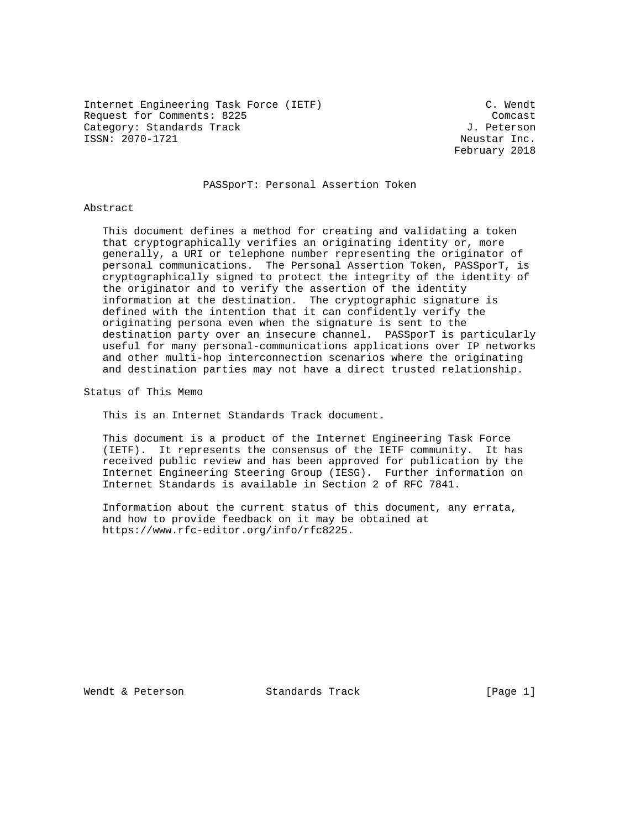Internet Engineering Task Force (IETF) C. Wendt Request for Comments: 8225 Comcast Category: Standards Track J. Peterson ISSN: 2070-1721 Neustar Inc.

February 2018

## PASSporT: Personal Assertion Token

#### Abstract

 This document defines a method for creating and validating a token that cryptographically verifies an originating identity or, more generally, a URI or telephone number representing the originator of personal communications. The Personal Assertion Token, PASSporT, is cryptographically signed to protect the integrity of the identity of the originator and to verify the assertion of the identity information at the destination. The cryptographic signature is defined with the intention that it can confidently verify the originating persona even when the signature is sent to the destination party over an insecure channel. PASSporT is particularly useful for many personal-communications applications over IP networks and other multi-hop interconnection scenarios where the originating and destination parties may not have a direct trusted relationship.

Status of This Memo

This is an Internet Standards Track document.

 This document is a product of the Internet Engineering Task Force (IETF). It represents the consensus of the IETF community. It has received public review and has been approved for publication by the Internet Engineering Steering Group (IESG). Further information on Internet Standards is available in Section 2 of RFC 7841.

 Information about the current status of this document, any errata, and how to provide feedback on it may be obtained at https://www.rfc-editor.org/info/rfc8225.

Wendt & Peterson and Standards Track and [Page 1]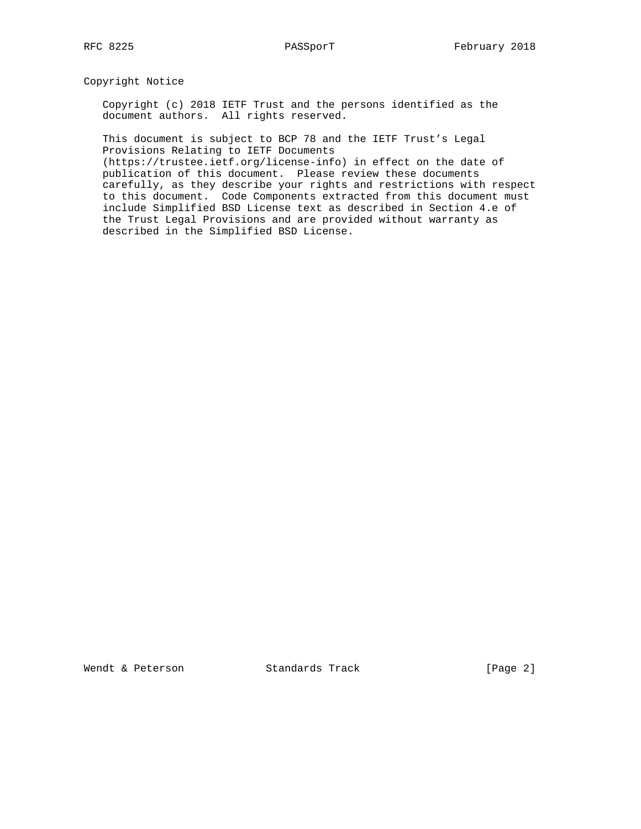Copyright Notice

 Copyright (c) 2018 IETF Trust and the persons identified as the document authors. All rights reserved.

 This document is subject to BCP 78 and the IETF Trust's Legal Provisions Relating to IETF Documents

 (https://trustee.ietf.org/license-info) in effect on the date of publication of this document. Please review these documents carefully, as they describe your rights and restrictions with respect to this document. Code Components extracted from this document must include Simplified BSD License text as described in Section 4.e of the Trust Legal Provisions and are provided without warranty as described in the Simplified BSD License.

Wendt & Peterson and Standards Track and Exemple 21 [Page 2]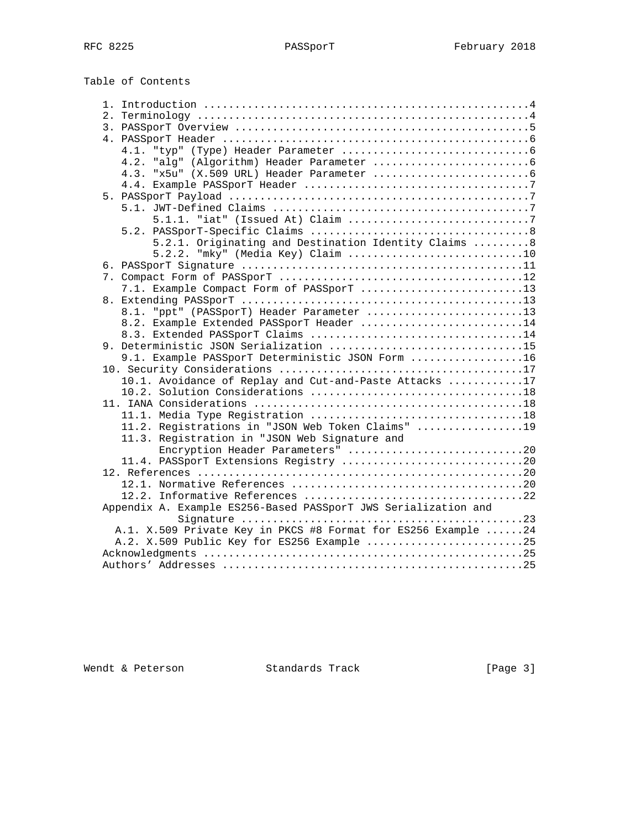| Table of Contents                                              |  |
|----------------------------------------------------------------|--|
|                                                                |  |
|                                                                |  |
|                                                                |  |
|                                                                |  |
|                                                                |  |
|                                                                |  |
|                                                                |  |
|                                                                |  |
|                                                                |  |
|                                                                |  |
|                                                                |  |
|                                                                |  |
| 5.2.1. Originating and Destination Identity Claims 8           |  |
| 5.2.2. "mky" (Media Key) Claim 10                              |  |
|                                                                |  |
|                                                                |  |
| 7.1. Example Compact Form of PASSporT 13                       |  |
|                                                                |  |
| 8.1. "ppt" (PASSporT) Header Parameter 13                      |  |
| 8.2. Example Extended PASSporT Header 14                       |  |
|                                                                |  |
| 9. Deterministic JSON Serialization 15                         |  |
| 9.1. Example PASSporT Deterministic JSON Form 16               |  |
|                                                                |  |
| 10.1. Avoidance of Replay and Cut-and-Paste Attacks 17         |  |
|                                                                |  |
|                                                                |  |
|                                                                |  |
| 11.2. Registrations in "JSON Web Token Claims" 19              |  |
| 11.3. Registration in "JSON Web Signature and                  |  |
| Encryption Header Parameters" 20                               |  |
|                                                                |  |
|                                                                |  |
|                                                                |  |
|                                                                |  |
| Appendix A. Example ES256-Based PASSporT JWS Serialization and |  |
|                                                                |  |
| A.1. X.509 Private Key in PKCS #8 Format for ES256 Example 24  |  |
|                                                                |  |
|                                                                |  |
|                                                                |  |

Wendt & Peterson Standards Track [Page 3]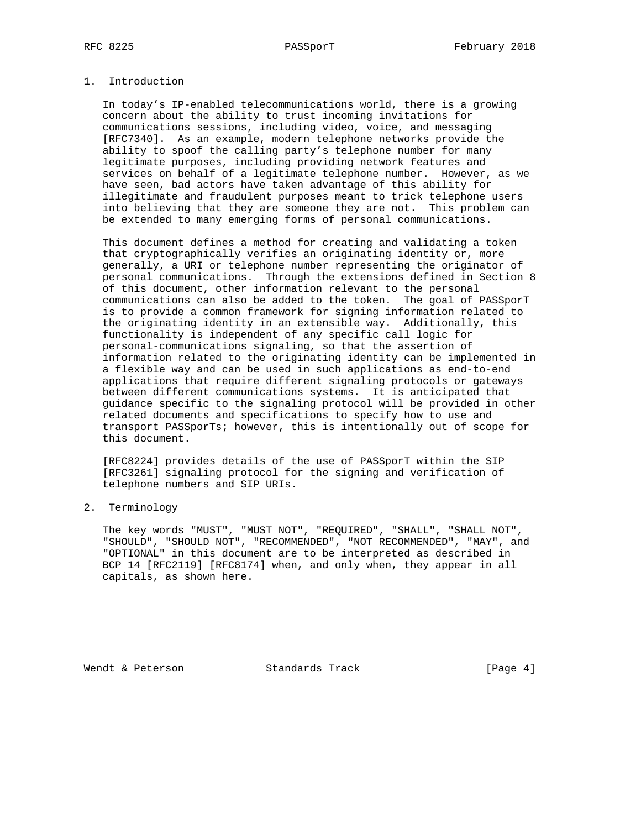# 1. Introduction

 In today's IP-enabled telecommunications world, there is a growing concern about the ability to trust incoming invitations for communications sessions, including video, voice, and messaging [RFC7340]. As an example, modern telephone networks provide the ability to spoof the calling party's telephone number for many legitimate purposes, including providing network features and services on behalf of a legitimate telephone number. However, as we have seen, bad actors have taken advantage of this ability for illegitimate and fraudulent purposes meant to trick telephone users into believing that they are someone they are not. This problem can be extended to many emerging forms of personal communications.

 This document defines a method for creating and validating a token that cryptographically verifies an originating identity or, more generally, a URI or telephone number representing the originator of personal communications. Through the extensions defined in Section 8 of this document, other information relevant to the personal communications can also be added to the token. The goal of PASSporT is to provide a common framework for signing information related to the originating identity in an extensible way. Additionally, this functionality is independent of any specific call logic for personal-communications signaling, so that the assertion of information related to the originating identity can be implemented in a flexible way and can be used in such applications as end-to-end applications that require different signaling protocols or gateways between different communications systems. It is anticipated that guidance specific to the signaling protocol will be provided in other related documents and specifications to specify how to use and transport PASSporTs; however, this is intentionally out of scope for this document.

 [RFC8224] provides details of the use of PASSporT within the SIP [RFC3261] signaling protocol for the signing and verification of telephone numbers and SIP URIs.

2. Terminology

 The key words "MUST", "MUST NOT", "REQUIRED", "SHALL", "SHALL NOT", "SHOULD", "SHOULD NOT", "RECOMMENDED", "NOT RECOMMENDED", "MAY", and "OPTIONAL" in this document are to be interpreted as described in BCP 14 [RFC2119] [RFC8174] when, and only when, they appear in all capitals, as shown here.

Wendt & Peterson and Standards Track and [Page 4]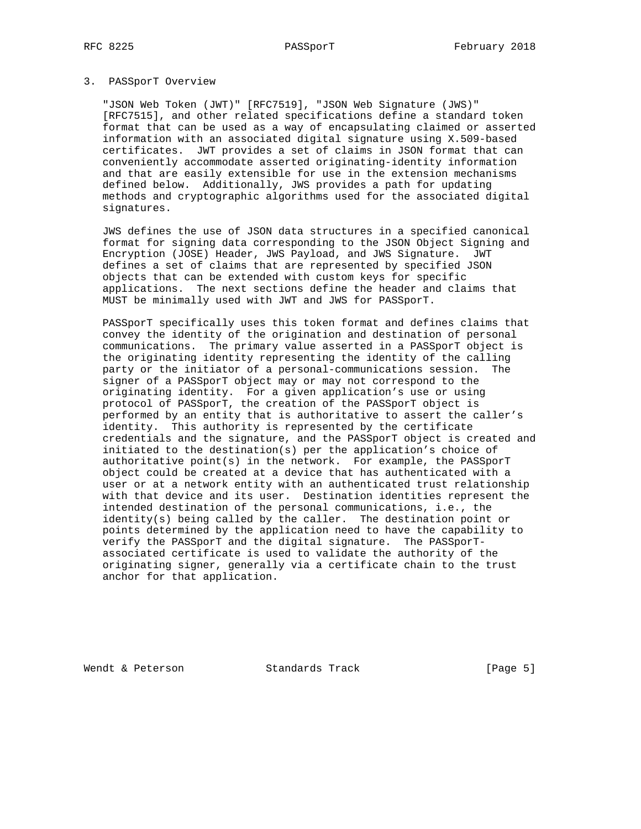### 3. PASSporT Overview

 "JSON Web Token (JWT)" [RFC7519], "JSON Web Signature (JWS)" [RFC7515], and other related specifications define a standard token format that can be used as a way of encapsulating claimed or asserted information with an associated digital signature using X.509-based certificates. JWT provides a set of claims in JSON format that can conveniently accommodate asserted originating-identity information and that are easily extensible for use in the extension mechanisms defined below. Additionally, JWS provides a path for updating methods and cryptographic algorithms used for the associated digital signatures.

 JWS defines the use of JSON data structures in a specified canonical format for signing data corresponding to the JSON Object Signing and Encryption (JOSE) Header, JWS Payload, and JWS Signature. JWT defines a set of claims that are represented by specified JSON objects that can be extended with custom keys for specific applications. The next sections define the header and claims that MUST be minimally used with JWT and JWS for PASSporT.

 PASSporT specifically uses this token format and defines claims that convey the identity of the origination and destination of personal communications. The primary value asserted in a PASSporT object is the originating identity representing the identity of the calling party or the initiator of a personal-communications session. The signer of a PASSporT object may or may not correspond to the originating identity. For a given application's use or using protocol of PASSporT, the creation of the PASSporT object is performed by an entity that is authoritative to assert the caller's identity. This authority is represented by the certificate credentials and the signature, and the PASSporT object is created and initiated to the destination(s) per the application's choice of authoritative point(s) in the network. For example, the PASSporT object could be created at a device that has authenticated with a user or at a network entity with an authenticated trust relationship with that device and its user. Destination identities represent the intended destination of the personal communications, i.e., the identity(s) being called by the caller. The destination point or points determined by the application need to have the capability to verify the PASSporT and the digital signature. The PASSporT associated certificate is used to validate the authority of the originating signer, generally via a certificate chain to the trust anchor for that application.

Wendt & Peterson Standards Track [Page 5]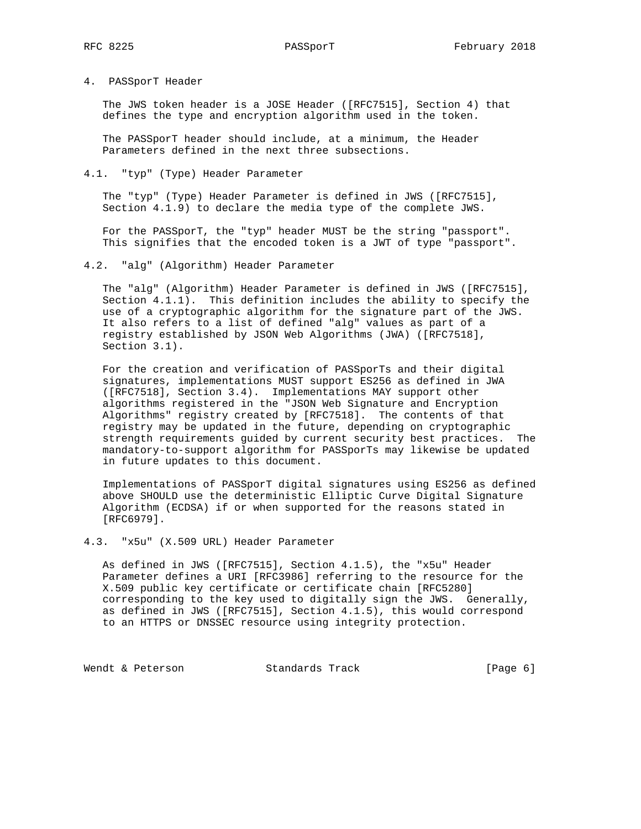### 4. PASSporT Header

 The JWS token header is a JOSE Header ([RFC7515], Section 4) that defines the type and encryption algorithm used in the token.

 The PASSporT header should include, at a minimum, the Header Parameters defined in the next three subsections.

#### 4.1. "typ" (Type) Header Parameter

 The "typ" (Type) Header Parameter is defined in JWS ([RFC7515], Section 4.1.9) to declare the media type of the complete JWS.

 For the PASSporT, the "typ" header MUST be the string "passport". This signifies that the encoded token is a JWT of type "passport".

4.2. "alg" (Algorithm) Header Parameter

 The "alg" (Algorithm) Header Parameter is defined in JWS ([RFC7515], Section 4.1.1). This definition includes the ability to specify the use of a cryptographic algorithm for the signature part of the JWS. It also refers to a list of defined "alg" values as part of a registry established by JSON Web Algorithms (JWA) ([RFC7518], Section 3.1).

 For the creation and verification of PASSporTs and their digital signatures, implementations MUST support ES256 as defined in JWA ([RFC7518], Section 3.4). Implementations MAY support other algorithms registered in the "JSON Web Signature and Encryption Algorithms" registry created by [RFC7518]. The contents of that registry may be updated in the future, depending on cryptographic strength requirements guided by current security best practices. The mandatory-to-support algorithm for PASSporTs may likewise be updated in future updates to this document.

 Implementations of PASSporT digital signatures using ES256 as defined above SHOULD use the deterministic Elliptic Curve Digital Signature Algorithm (ECDSA) if or when supported for the reasons stated in [RFC6979].

#### 4.3. "x5u" (X.509 URL) Header Parameter

 As defined in JWS ([RFC7515], Section 4.1.5), the "x5u" Header Parameter defines a URI [RFC3986] referring to the resource for the X.509 public key certificate or certificate chain [RFC5280] corresponding to the key used to digitally sign the JWS. Generally, as defined in JWS ([RFC7515], Section 4.1.5), this would correspond to an HTTPS or DNSSEC resource using integrity protection.

Wendt & Peterson and Standards Track (Page 6)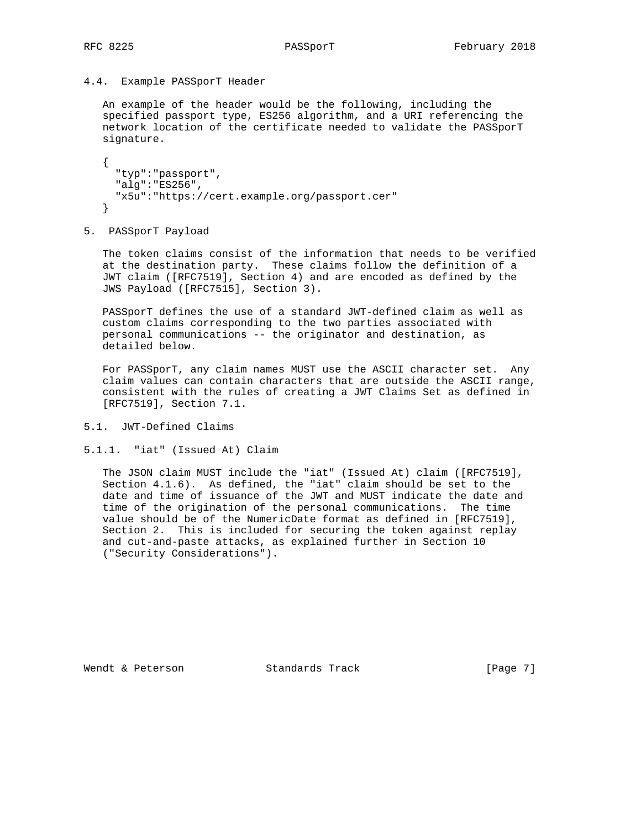### 4.4. Example PASSporT Header

 An example of the header would be the following, including the specified passport type, ES256 algorithm, and a URI referencing the network location of the certificate needed to validate the PASSporT signature.

```
\left\{ \right. "typ":"passport",
   "alg":"ES256",
   "x5u":"https://cert.example.org/passport.cer"
 }
```
5. PASSporT Payload

 The token claims consist of the information that needs to be verified at the destination party. These claims follow the definition of a JWT claim ([RFC7519], Section 4) and are encoded as defined by the JWS Payload ([RFC7515], Section 3).

 PASSporT defines the use of a standard JWT-defined claim as well as custom claims corresponding to the two parties associated with personal communications -- the originator and destination, as detailed below.

 For PASSporT, any claim names MUST use the ASCII character set. Any claim values can contain characters that are outside the ASCII range, consistent with the rules of creating a JWT Claims Set as defined in [RFC7519], Section 7.1.

### 5.1. JWT-Defined Claims

5.1.1. "iat" (Issued At) Claim

 The JSON claim MUST include the "iat" (Issued At) claim ([RFC7519], Section 4.1.6). As defined, the "iat" claim should be set to the date and time of issuance of the JWT and MUST indicate the date and time of the origination of the personal communications. The time value should be of the NumericDate format as defined in [RFC7519], Section 2. This is included for securing the token against replay and cut-and-paste attacks, as explained further in Section 10 ("Security Considerations").

Wendt & Peterson and Standards Track [Page 7]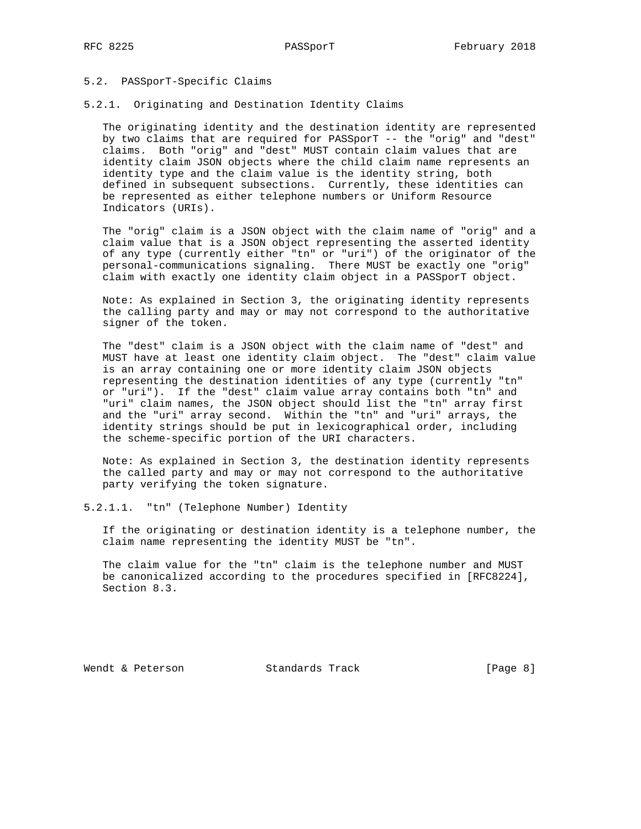### 5.2. PASSporT-Specific Claims

5.2.1. Originating and Destination Identity Claims

 The originating identity and the destination identity are represented by two claims that are required for PASSporT -- the "orig" and "dest" claims. Both "orig" and "dest" MUST contain claim values that are identity claim JSON objects where the child claim name represents an identity type and the claim value is the identity string, both defined in subsequent subsections. Currently, these identities can be represented as either telephone numbers or Uniform Resource Indicators (URIs).

 The "orig" claim is a JSON object with the claim name of "orig" and a claim value that is a JSON object representing the asserted identity of any type (currently either "tn" or "uri") of the originator of the personal-communications signaling. There MUST be exactly one "orig" claim with exactly one identity claim object in a PASSporT object.

 Note: As explained in Section 3, the originating identity represents the calling party and may or may not correspond to the authoritative signer of the token.

 The "dest" claim is a JSON object with the claim name of "dest" and MUST have at least one identity claim object. The "dest" claim value is an array containing one or more identity claim JSON objects representing the destination identities of any type (currently "tn" or "uri"). If the "dest" claim value array contains both "tn" and "uri" claim names, the JSON object should list the "tn" array first and the "uri" array second. Within the "tn" and "uri" arrays, the identity strings should be put in lexicographical order, including the scheme-specific portion of the URI characters.

 Note: As explained in Section 3, the destination identity represents the called party and may or may not correspond to the authoritative party verifying the token signature.

5.2.1.1. "tn" (Telephone Number) Identity

 If the originating or destination identity is a telephone number, the claim name representing the identity MUST be "tn".

 The claim value for the "tn" claim is the telephone number and MUST be canonicalized according to the procedures specified in [RFC8224], Section 8.3.

Wendt & Peterson and Standards Track [Page 8]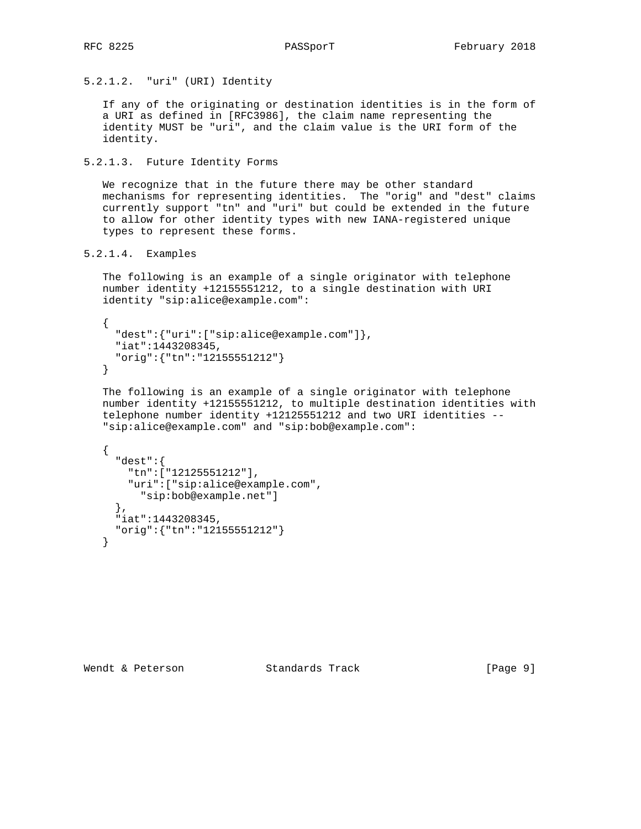5.2.1.2. "uri" (URI) Identity

 If any of the originating or destination identities is in the form of a URI as defined in [RFC3986], the claim name representing the identity MUST be "uri", and the claim value is the URI form of the identity.

5.2.1.3. Future Identity Forms

 We recognize that in the future there may be other standard mechanisms for representing identities. The "orig" and "dest" claims currently support "tn" and "uri" but could be extended in the future to allow for other identity types with new IANA-registered unique types to represent these forms.

5.2.1.4. Examples

 The following is an example of a single originator with telephone number identity +12155551212, to a single destination with URI identity "sip:alice@example.com":

```
\{ \cdot \cdot \cdot \cdot \cdot \cdot \cdot \cdot \cdot \cdot \cdot \cdot \cdot \cdot \cdot \cdot \cdot \cdot \cdot \cdot \cdot \cdot \cdot \cdot \cdot \cdot \cdot \cdot \cdot \cdot \cdot \cdot \cdot \cdot \cdot \cdot 
                 "dest":{"uri":["sip:alice@example.com"]},
                 "iat":1443208345,
                 "orig":{"tn":"12155551212"}
          }
```
 The following is an example of a single originator with telephone number identity +12155551212, to multiple destination identities with telephone number identity +12125551212 and two URI identities -- "sip:alice@example.com" and "sip:bob@example.com":

```
 {
   "dest":{
     "tn":["12125551212"],
     "uri":["sip:alice@example.com",
      "sip:bob@example.net"]
   },
  .<br>"iat":1443208345,
   "orig":{"tn":"12155551212"}
 }
```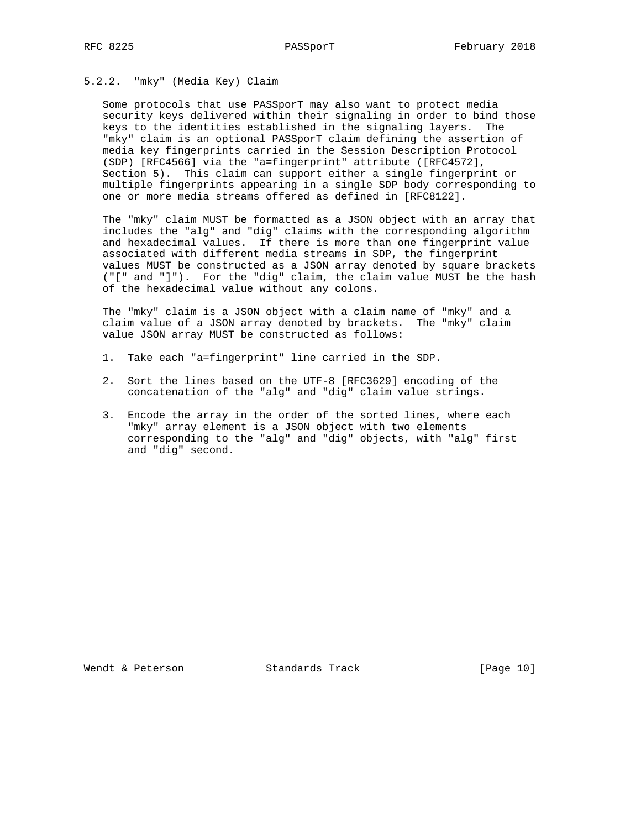# 5.2.2. "mky" (Media Key) Claim

 Some protocols that use PASSporT may also want to protect media security keys delivered within their signaling in order to bind those keys to the identities established in the signaling layers. The "mky" claim is an optional PASSporT claim defining the assertion of media key fingerprints carried in the Session Description Protocol (SDP) [RFC4566] via the "a=fingerprint" attribute ([RFC4572], Section 5). This claim can support either a single fingerprint or multiple fingerprints appearing in a single SDP body corresponding to one or more media streams offered as defined in [RFC8122].

 The "mky" claim MUST be formatted as a JSON object with an array that includes the "alg" and "dig" claims with the corresponding algorithm and hexadecimal values. If there is more than one fingerprint value associated with different media streams in SDP, the fingerprint values MUST be constructed as a JSON array denoted by square brackets ("[" and "]"). For the "dig" claim, the claim value MUST be the hash of the hexadecimal value without any colons.

 The "mky" claim is a JSON object with a claim name of "mky" and a claim value of a JSON array denoted by brackets. The "mky" claim value JSON array MUST be constructed as follows:

- 1. Take each "a=fingerprint" line carried in the SDP.
- 2. Sort the lines based on the UTF-8 [RFC3629] encoding of the concatenation of the "alg" and "dig" claim value strings.
- 3. Encode the array in the order of the sorted lines, where each "mky" array element is a JSON object with two elements corresponding to the "alg" and "dig" objects, with "alg" first and "dig" second.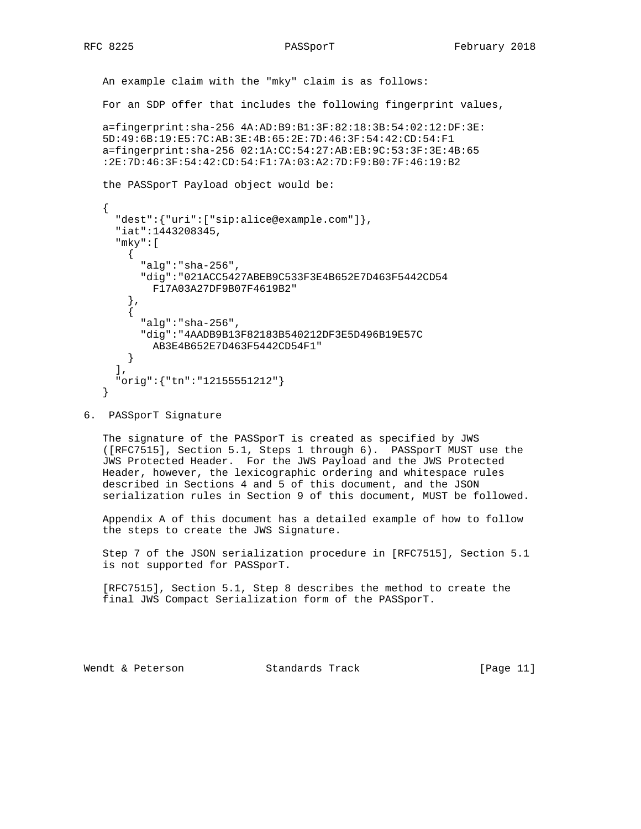An example claim with the "mky" claim is as follows: For an SDP offer that includes the following fingerprint values,

```
 a=fingerprint:sha-256 4A:AD:B9:B1:3F:82:18:3B:54:02:12:DF:3E:
 5D:49:6B:19:E5:7C:AB:3E:4B:65:2E:7D:46:3F:54:42:CD:54:F1
 a=fingerprint:sha-256 02:1A:CC:54:27:AB:EB:9C:53:3F:3E:4B:65
 :2E:7D:46:3F:54:42:CD:54:F1:7A:03:A2:7D:F9:B0:7F:46:19:B2
```

```
 the PASSporT Payload object would be:
```

```
 {
      "dest":{"uri":["sip:alice@example.com"]},
      "iat":1443208345,
      "mky":[
        {
          "alg":"sha-256",
          "dig":"021ACC5427ABEB9C533F3E4B652E7D463F5442CD54
           F17A03A27DF9B07F4619B2"
        },
\{ "alg":"sha-256",
          "dig":"4AADB9B13F82183B540212DF3E5D496B19E57C
            AB3E4B652E7D463F5442CD54F1"
        }
     \,, \, "orig":{"tn":"12155551212"}
    }
```
 The signature of the PASSporT is created as specified by JWS ([RFC7515], Section 5.1, Steps 1 through 6). PASSporT MUST use the JWS Protected Header. For the JWS Payload and the JWS Protected Header, however, the lexicographic ordering and whitespace rules described in Sections 4 and 5 of this document, and the JSON serialization rules in Section 9 of this document, MUST be followed.

 Appendix A of this document has a detailed example of how to follow the steps to create the JWS Signature.

 Step 7 of the JSON serialization procedure in [RFC7515], Section 5.1 is not supported for PASSporT.

 [RFC7515], Section 5.1, Step 8 describes the method to create the final JWS Compact Serialization form of the PASSporT.

Wendt & Peterson Standards Track [Page 11]

<sup>6.</sup> PASSporT Signature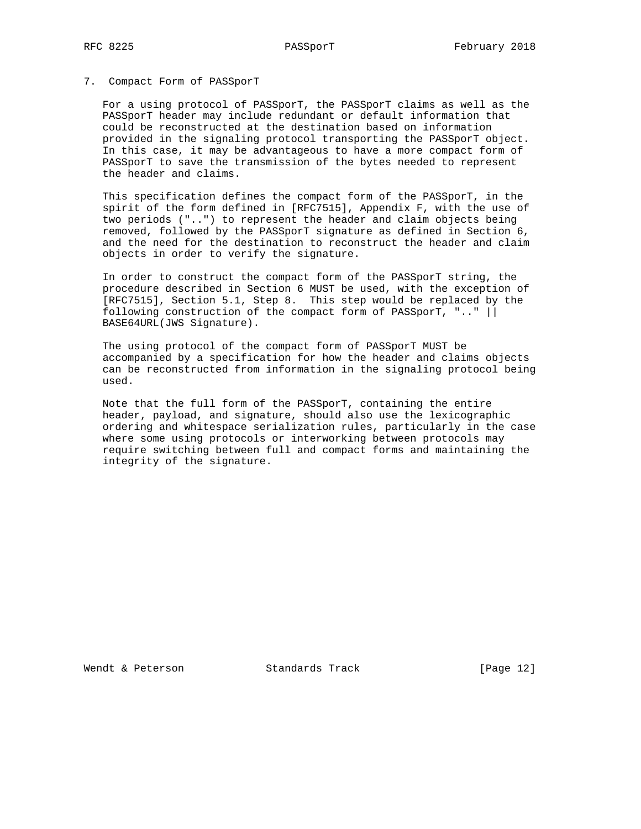### 7. Compact Form of PASSporT

 For a using protocol of PASSporT, the PASSporT claims as well as the PASSporT header may include redundant or default information that could be reconstructed at the destination based on information provided in the signaling protocol transporting the PASSporT object. In this case, it may be advantageous to have a more compact form of PASSporT to save the transmission of the bytes needed to represent the header and claims.

 This specification defines the compact form of the PASSporT, in the spirit of the form defined in [RFC7515], Appendix F, with the use of two periods ("..") to represent the header and claim objects being removed, followed by the PASSporT signature as defined in Section 6, and the need for the destination to reconstruct the header and claim objects in order to verify the signature.

 In order to construct the compact form of the PASSporT string, the procedure described in Section 6 MUST be used, with the exception of [RFC7515], Section 5.1, Step 8. This step would be replaced by the following construction of the compact form of PASSporT, ".." || BASE64URL(JWS Signature).

 The using protocol of the compact form of PASSporT MUST be accompanied by a specification for how the header and claims objects can be reconstructed from information in the signaling protocol being used.

 Note that the full form of the PASSporT, containing the entire header, payload, and signature, should also use the lexicographic ordering and whitespace serialization rules, particularly in the case where some using protocols or interworking between protocols may require switching between full and compact forms and maintaining the integrity of the signature.

Wendt & Peterson Standards Track [Page 12]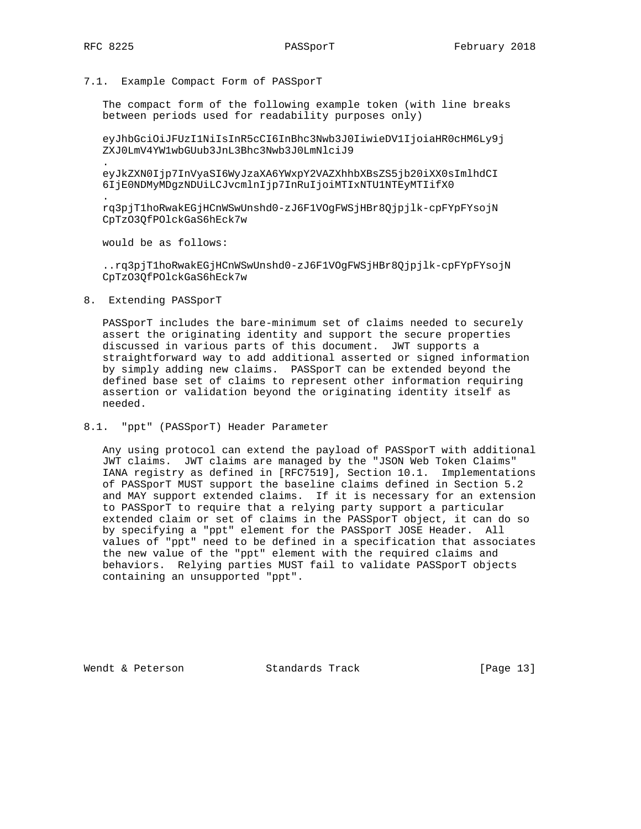.

.

7.1. Example Compact Form of PASSporT

 The compact form of the following example token (with line breaks between periods used for readability purposes only)

 eyJhbGciOiJFUzI1NiIsInR5cCI6InBhc3Nwb3J0IiwieDV1IjoiaHR0cHM6Ly9j ZXJ0LmV4YW1wbGUub3JnL3Bhc3Nwb3J0LmNlciJ9

 eyJkZXN0Ijp7InVyaSI6WyJzaXA6YWxpY2VAZXhhbXBsZS5jb20iXX0sImlhdCI 6IjE0NDMyMDgzNDUiLCJvcmlnIjp7InRuIjoiMTIxNTU1NTEyMTIifX0

 rq3pjT1hoRwakEGjHCnWSwUnshd0-zJ6F1VOgFWSjHBr8Qjpjlk-cpFYpFYsojN CpTzO3QfPOlckGaS6hEck7w

would be as follows:

 ..rq3pjT1hoRwakEGjHCnWSwUnshd0-zJ6F1VOgFWSjHBr8Qjpjlk-cpFYpFYsojN CpTzO3QfPOlckGaS6hEck7w

8. Extending PASSporT

 PASSporT includes the bare-minimum set of claims needed to securely assert the originating identity and support the secure properties discussed in various parts of this document. JWT supports a straightforward way to add additional asserted or signed information by simply adding new claims. PASSporT can be extended beyond the defined base set of claims to represent other information requiring assertion or validation beyond the originating identity itself as needed.

8.1. "ppt" (PASSporT) Header Parameter

 Any using protocol can extend the payload of PASSporT with additional JWT claims. JWT claims are managed by the "JSON Web Token Claims" IANA registry as defined in [RFC7519], Section 10.1. Implementations of PASSporT MUST support the baseline claims defined in Section 5.2 and MAY support extended claims. If it is necessary for an extension to PASSporT to require that a relying party support a particular extended claim or set of claims in the PASSporT object, it can do so by specifying a "ppt" element for the PASSporT JOSE Header. All values of "ppt" need to be defined in a specification that associates the new value of the "ppt" element with the required claims and behaviors. Relying parties MUST fail to validate PASSporT objects containing an unsupported "ppt".

Wendt & Peterson Standards Track [Page 13]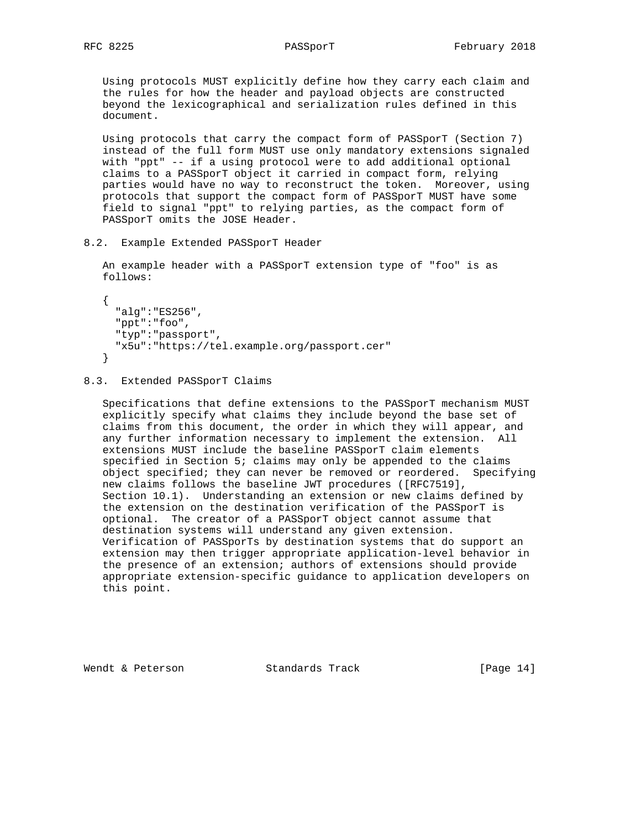Using protocols MUST explicitly define how they carry each claim and the rules for how the header and payload objects are constructed beyond the lexicographical and serialization rules defined in this document.

 Using protocols that carry the compact form of PASSporT (Section 7) instead of the full form MUST use only mandatory extensions signaled with "ppt" -- if a using protocol were to add additional optional claims to a PASSporT object it carried in compact form, relying parties would have no way to reconstruct the token. Moreover, using protocols that support the compact form of PASSporT MUST have some field to signal "ppt" to relying parties, as the compact form of PASSporT omits the JOSE Header.

8.2. Example Extended PASSporT Header

 An example header with a PASSporT extension type of "foo" is as follows:

 { "alg":"ES256", "ppt":"foo", "typ":"passport", "x5u":"https://tel.example.org/passport.cer" }

# 8.3. Extended PASSporT Claims

 Specifications that define extensions to the PASSporT mechanism MUST explicitly specify what claims they include beyond the base set of claims from this document, the order in which they will appear, and any further information necessary to implement the extension. All extensions MUST include the baseline PASSporT claim elements specified in Section 5; claims may only be appended to the claims object specified; they can never be removed or reordered. Specifying new claims follows the baseline JWT procedures ([RFC7519], Section 10.1). Understanding an extension or new claims defined by the extension on the destination verification of the PASSporT is optional. The creator of a PASSporT object cannot assume that destination systems will understand any given extension. Verification of PASSporTs by destination systems that do support an extension may then trigger appropriate application-level behavior in the presence of an extension; authors of extensions should provide appropriate extension-specific guidance to application developers on this point.

Wendt & Peterson Standards Track [Page 14]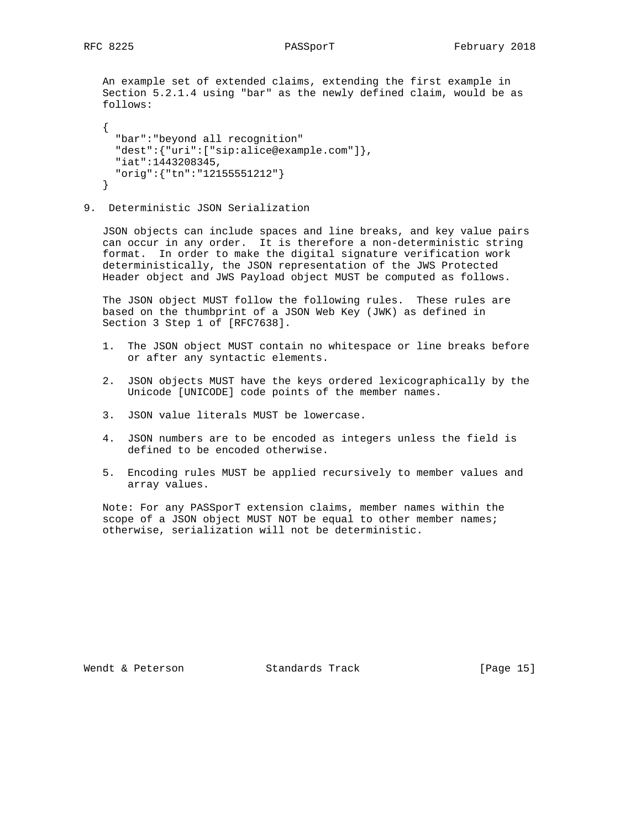An example set of extended claims, extending the first example in Section 5.2.1.4 using "bar" as the newly defined claim, would be as follows:

```
\left\{ \right. "bar":"beyond all recognition"
   "dest":{"uri":["sip:alice@example.com"]},
   "iat":1443208345,
   "orig":{"tn":"12155551212"}
 }
```
9. Deterministic JSON Serialization

 JSON objects can include spaces and line breaks, and key value pairs can occur in any order. It is therefore a non-deterministic string format. In order to make the digital signature verification work deterministically, the JSON representation of the JWS Protected Header object and JWS Payload object MUST be computed as follows.

 The JSON object MUST follow the following rules. These rules are based on the thumbprint of a JSON Web Key (JWK) as defined in Section 3 Step 1 of [RFC7638].

- 1. The JSON object MUST contain no whitespace or line breaks before or after any syntactic elements.
- 2. JSON objects MUST have the keys ordered lexicographically by the Unicode [UNICODE] code points of the member names.
- 3. JSON value literals MUST be lowercase.
- 4. JSON numbers are to be encoded as integers unless the field is defined to be encoded otherwise.
- 5. Encoding rules MUST be applied recursively to member values and array values.

 Note: For any PASSporT extension claims, member names within the scope of a JSON object MUST NOT be equal to other member names; otherwise, serialization will not be deterministic.

Wendt & Peterson Standards Track [Page 15]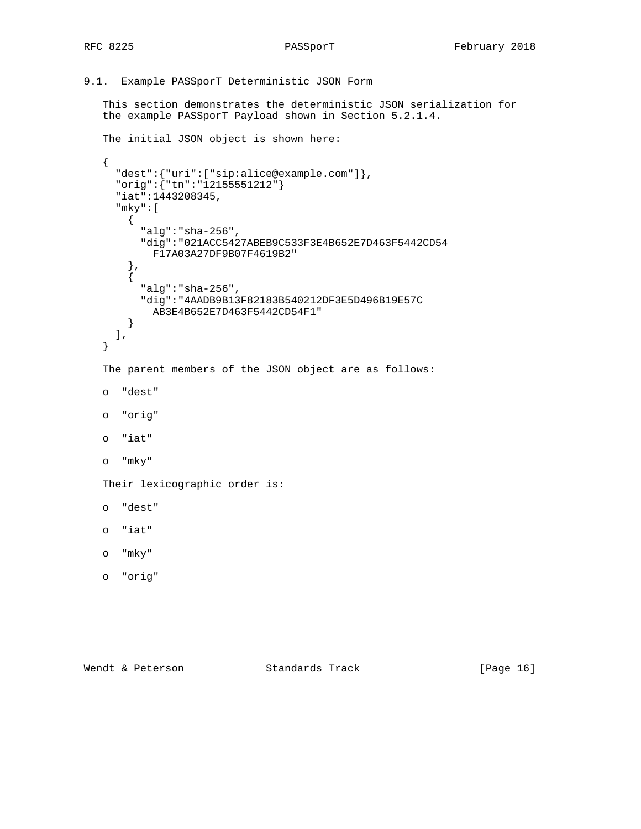9.1. Example PASSporT Deterministic JSON Form

 This section demonstrates the deterministic JSON serialization for the example PASSporT Payload shown in Section 5.2.1.4.

```
 The initial JSON object is shown here:
   {
      "dest":{"uri":["sip:alice@example.com"]},
      "orig":{"tn":"12155551212"}
      "iat":1443208345,
      "mky":[
       {
          "alg":"sha-256",
          "dig":"021ACC5427ABEB9C533F3E4B652E7D463F5442CD54
           F17A03A27DF9B07F4619B2"
 },
\{ "alg":"sha-256",
          "dig":"4AADB9B13F82183B540212DF3E5D496B19E57C
           AB3E4B652E7D463F5442CD54F1"
       }
      ],
   }
   The parent members of the JSON object are as follows:
   o "dest"
   o "orig"
   o "iat"
   o "mky"
   Their lexicographic order is:
   o "dest"
   o "iat"
   o "mky"
   o "orig"
```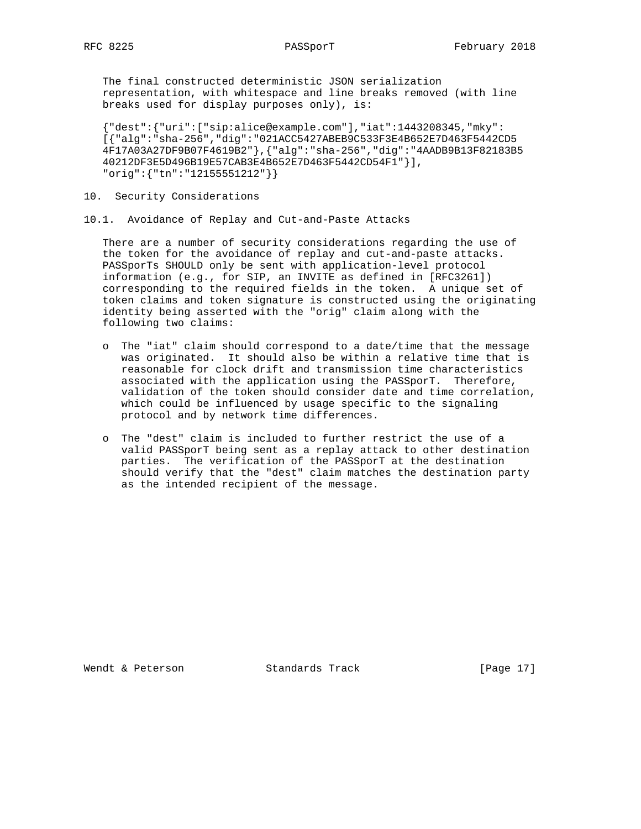The final constructed deterministic JSON serialization representation, with whitespace and line breaks removed (with line breaks used for display purposes only), is:

 {"dest":{"uri":["sip:alice@example.com"],"iat":1443208345,"mky": [{"alg":"sha-256","dig":"021ACC5427ABEB9C533F3E4B652E7D463F5442CD5 4F17A03A27DF9B07F4619B2"},{"alg":"sha-256","dig":"4AADB9B13F82183B5 40212DF3E5D496B19E57CAB3E4B652E7D463F5442CD54F1"}], "orig":{"tn":"12155551212"}}

- 10. Security Considerations
- 10.1. Avoidance of Replay and Cut-and-Paste Attacks

 There are a number of security considerations regarding the use of the token for the avoidance of replay and cut-and-paste attacks. PASSporTs SHOULD only be sent with application-level protocol information (e.g., for SIP, an INVITE as defined in [RFC3261]) corresponding to the required fields in the token. A unique set of token claims and token signature is constructed using the originating identity being asserted with the "orig" claim along with the following two claims:

- o The "iat" claim should correspond to a date/time that the message was originated. It should also be within a relative time that is reasonable for clock drift and transmission time characteristics associated with the application using the PASSporT. Therefore, validation of the token should consider date and time correlation, which could be influenced by usage specific to the signaling protocol and by network time differences.
- o The "dest" claim is included to further restrict the use of a valid PASSporT being sent as a replay attack to other destination parties. The verification of the PASSporT at the destination should verify that the "dest" claim matches the destination party as the intended recipient of the message.

Wendt & Peterson Standards Track [Page 17]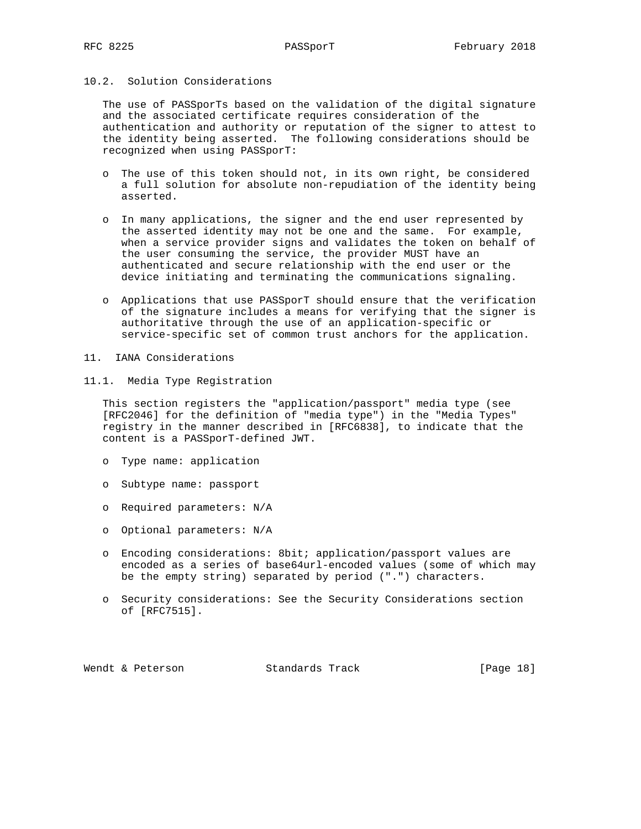## 10.2. Solution Considerations

 The use of PASSporTs based on the validation of the digital signature and the associated certificate requires consideration of the authentication and authority or reputation of the signer to attest to the identity being asserted. The following considerations should be recognized when using PASSporT:

- o The use of this token should not, in its own right, be considered a full solution for absolute non-repudiation of the identity being asserted.
- o In many applications, the signer and the end user represented by the asserted identity may not be one and the same. For example, when a service provider signs and validates the token on behalf of the user consuming the service, the provider MUST have an authenticated and secure relationship with the end user or the device initiating and terminating the communications signaling.
- o Applications that use PASSporT should ensure that the verification of the signature includes a means for verifying that the signer is authoritative through the use of an application-specific or service-specific set of common trust anchors for the application.
- 11. IANA Considerations
- 11.1. Media Type Registration

 This section registers the "application/passport" media type (see [RFC2046] for the definition of "media type") in the "Media Types" registry in the manner described in [RFC6838], to indicate that the content is a PASSporT-defined JWT.

- o Type name: application
- o Subtype name: passport
- o Required parameters: N/A
- o Optional parameters: N/A
- o Encoding considerations: 8bit; application/passport values are encoded as a series of base64url-encoded values (some of which may be the empty string) separated by period (".") characters.
- o Security considerations: See the Security Considerations section of [RFC7515].

Wendt & Peterson Standards Track [Page 18]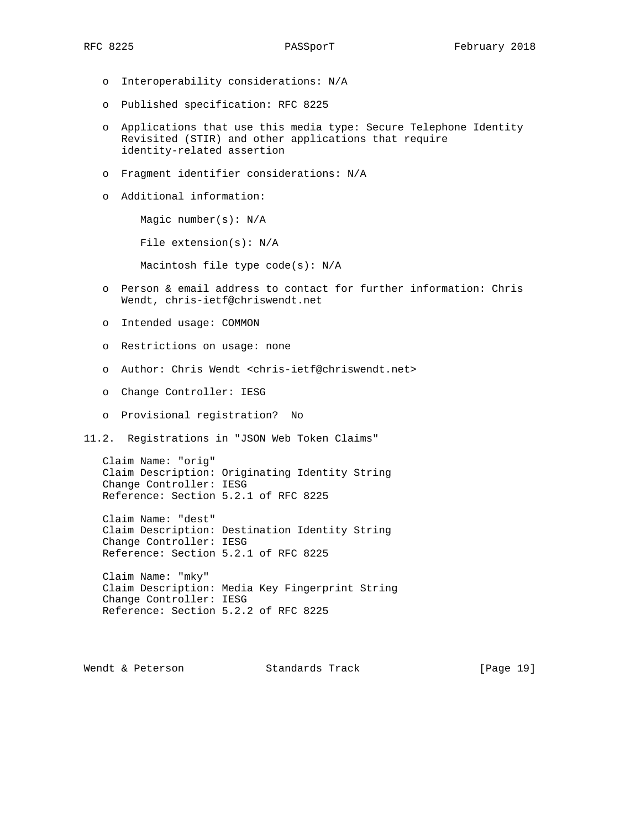- o Interoperability considerations: N/A
- o Published specification: RFC 8225
- o Applications that use this media type: Secure Telephone Identity Revisited (STIR) and other applications that require identity-related assertion
- o Fragment identifier considerations: N/A
- o Additional information:

Magic number(s): N/A

File extension(s): N/A

Macintosh file type code(s): N/A

- o Person & email address to contact for further information: Chris Wendt, chris-ietf@chriswendt.net
- o Intended usage: COMMON
- o Restrictions on usage: none
- o Author: Chris Wendt <chris-ietf@chriswendt.net>
- o Change Controller: IESG
- o Provisional registration? No

11.2. Registrations in "JSON Web Token Claims"

 Claim Name: "orig" Claim Description: Originating Identity String Change Controller: IESG Reference: Section 5.2.1 of RFC 8225

 Claim Name: "dest" Claim Description: Destination Identity String Change Controller: IESG Reference: Section 5.2.1 of RFC 8225

 Claim Name: "mky" Claim Description: Media Key Fingerprint String Change Controller: IESG Reference: Section 5.2.2 of RFC 8225

Wendt & Peterson Standards Track [Page 19]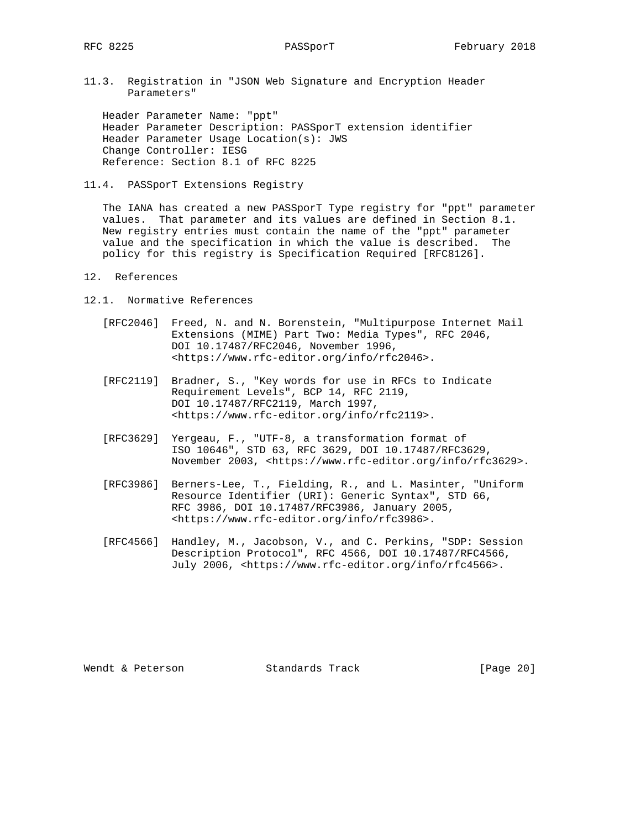11.3. Registration in "JSON Web Signature and Encryption Header Parameters"

 Header Parameter Name: "ppt" Header Parameter Description: PASSporT extension identifier Header Parameter Usage Location(s): JWS Change Controller: IESG Reference: Section 8.1 of RFC 8225

11.4. PASSporT Extensions Registry

 The IANA has created a new PASSporT Type registry for "ppt" parameter values. That parameter and its values are defined in Section 8.1. New registry entries must contain the name of the "ppt" parameter value and the specification in which the value is described. The policy for this registry is Specification Required [RFC8126].

- 12. References
- 12.1. Normative References
	- [RFC2046] Freed, N. and N. Borenstein, "Multipurpose Internet Mail Extensions (MIME) Part Two: Media Types", RFC 2046, DOI 10.17487/RFC2046, November 1996, <https://www.rfc-editor.org/info/rfc2046>.
	- [RFC2119] Bradner, S., "Key words for use in RFCs to Indicate Requirement Levels", BCP 14, RFC 2119, DOI 10.17487/RFC2119, March 1997, <https://www.rfc-editor.org/info/rfc2119>.
	- [RFC3629] Yergeau, F., "UTF-8, a transformation format of ISO 10646", STD 63, RFC 3629, DOI 10.17487/RFC3629, November 2003, <https://www.rfc-editor.org/info/rfc3629>.
	- [RFC3986] Berners-Lee, T., Fielding, R., and L. Masinter, "Uniform Resource Identifier (URI): Generic Syntax", STD 66, RFC 3986, DOI 10.17487/RFC3986, January 2005, <https://www.rfc-editor.org/info/rfc3986>.
	- [RFC4566] Handley, M., Jacobson, V., and C. Perkins, "SDP: Session Description Protocol", RFC 4566, DOI 10.17487/RFC4566, July 2006, <https://www.rfc-editor.org/info/rfc4566>.

Wendt & Peterson Standards Track [Page 20]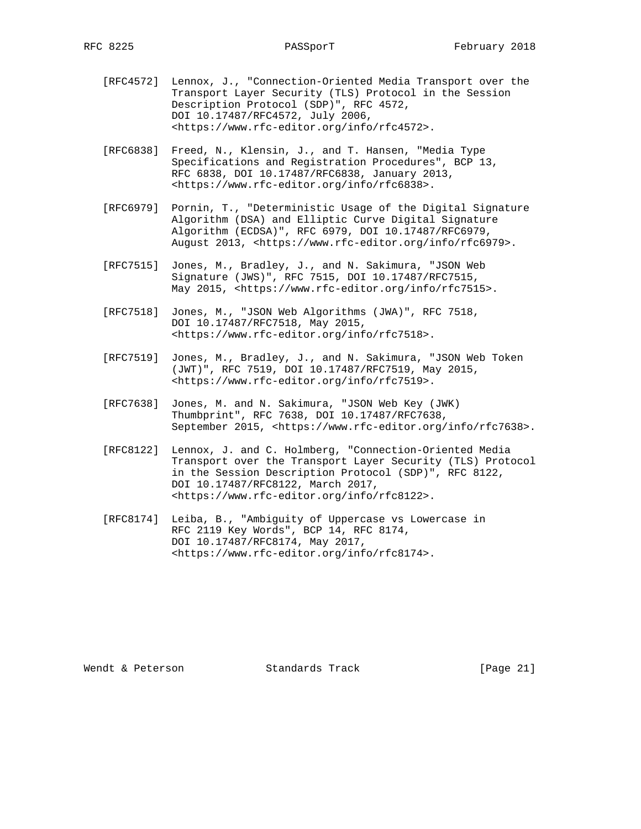- [RFC4572] Lennox, J., "Connection-Oriented Media Transport over the Transport Layer Security (TLS) Protocol in the Session Description Protocol (SDP)", RFC 4572, DOI 10.17487/RFC4572, July 2006, <https://www.rfc-editor.org/info/rfc4572>.
- [RFC6838] Freed, N., Klensin, J., and T. Hansen, "Media Type Specifications and Registration Procedures", BCP 13, RFC 6838, DOI 10.17487/RFC6838, January 2013, <https://www.rfc-editor.org/info/rfc6838>.
- [RFC6979] Pornin, T., "Deterministic Usage of the Digital Signature Algorithm (DSA) and Elliptic Curve Digital Signature Algorithm (ECDSA)", RFC 6979, DOI 10.17487/RFC6979, August 2013, <https://www.rfc-editor.org/info/rfc6979>.
- [RFC7515] Jones, M., Bradley, J., and N. Sakimura, "JSON Web Signature (JWS)", RFC 7515, DOI 10.17487/RFC7515, May 2015, <https://www.rfc-editor.org/info/rfc7515>.
- [RFC7518] Jones, M., "JSON Web Algorithms (JWA)", RFC 7518, DOI 10.17487/RFC7518, May 2015, <https://www.rfc-editor.org/info/rfc7518>.
- [RFC7519] Jones, M., Bradley, J., and N. Sakimura, "JSON Web Token (JWT)", RFC 7519, DOI 10.17487/RFC7519, May 2015, <https://www.rfc-editor.org/info/rfc7519>.
- [RFC7638] Jones, M. and N. Sakimura, "JSON Web Key (JWK) Thumbprint", RFC 7638, DOI 10.17487/RFC7638, September 2015, <https://www.rfc-editor.org/info/rfc7638>.
- [RFC8122] Lennox, J. and C. Holmberg, "Connection-Oriented Media Transport over the Transport Layer Security (TLS) Protocol in the Session Description Protocol (SDP)", RFC 8122, DOI 10.17487/RFC8122, March 2017, <https://www.rfc-editor.org/info/rfc8122>.
- [RFC8174] Leiba, B., "Ambiguity of Uppercase vs Lowercase in RFC 2119 Key Words", BCP 14, RFC 8174, DOI 10.17487/RFC8174, May 2017, <https://www.rfc-editor.org/info/rfc8174>.

Wendt & Peterson Standards Track [Page 21]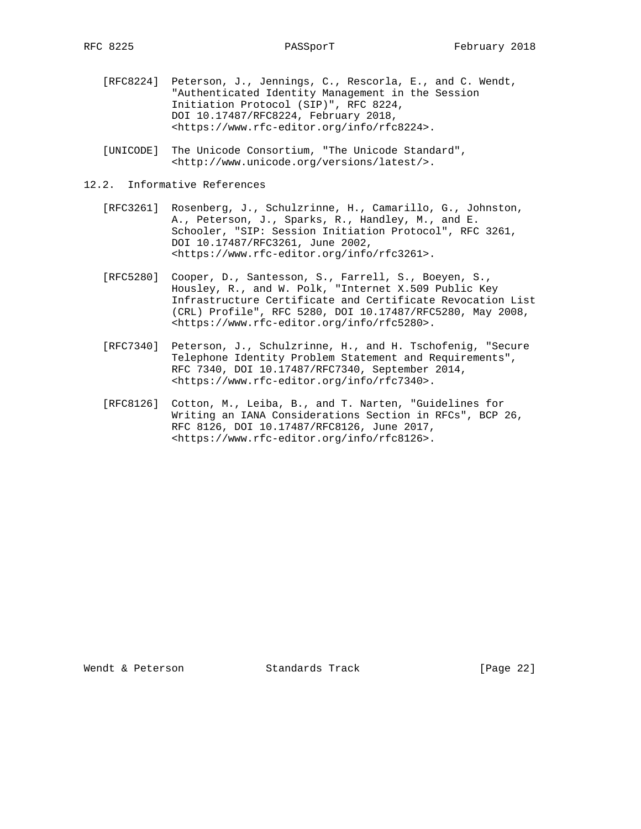- [RFC8224] Peterson, J., Jennings, C., Rescorla, E., and C. Wendt, "Authenticated Identity Management in the Session Initiation Protocol (SIP)", RFC 8224, DOI 10.17487/RFC8224, February 2018, <https://www.rfc-editor.org/info/rfc8224>.
- [UNICODE] The Unicode Consortium, "The Unicode Standard", <http://www.unicode.org/versions/latest/>.
- 12.2. Informative References
	- [RFC3261] Rosenberg, J., Schulzrinne, H., Camarillo, G., Johnston, A., Peterson, J., Sparks, R., Handley, M., and E. Schooler, "SIP: Session Initiation Protocol", RFC 3261, DOI 10.17487/RFC3261, June 2002, <https://www.rfc-editor.org/info/rfc3261>.
	- [RFC5280] Cooper, D., Santesson, S., Farrell, S., Boeyen, S., Housley, R., and W. Polk, "Internet X.509 Public Key Infrastructure Certificate and Certificate Revocation List (CRL) Profile", RFC 5280, DOI 10.17487/RFC5280, May 2008, <https://www.rfc-editor.org/info/rfc5280>.
	- [RFC7340] Peterson, J., Schulzrinne, H., and H. Tschofenig, "Secure Telephone Identity Problem Statement and Requirements", RFC 7340, DOI 10.17487/RFC7340, September 2014, <https://www.rfc-editor.org/info/rfc7340>.
	- [RFC8126] Cotton, M., Leiba, B., and T. Narten, "Guidelines for Writing an IANA Considerations Section in RFCs", BCP 26, RFC 8126, DOI 10.17487/RFC8126, June 2017, <https://www.rfc-editor.org/info/rfc8126>.

Wendt & Peterson Standards Track [Page 22]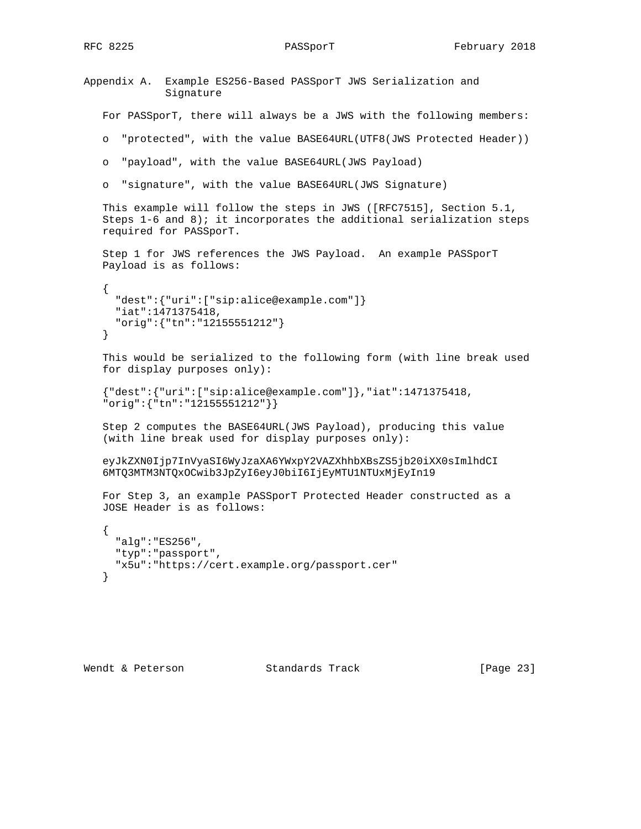```
Appendix A. Example ES256-Based PASSporT JWS Serialization and
              Signature
    For PASSporT, there will always be a JWS with the following members:
   o "protected", with the value BASE64URL(UTF8(JWS Protected Header))
   o "payload", with the value BASE64URL(JWS Payload)
   o "signature", with the value BASE64URL(JWS Signature)
   This example will follow the steps in JWS ([RFC7515], Section 5.1,
    Steps 1-6 and 8); it incorporates the additional serialization steps
    required for PASSporT.
    Step 1 for JWS references the JWS Payload. An example PASSporT
   Payload is as follows:
    {
      "dest":{"uri":["sip:alice@example.com"]}
      "iat":1471375418,
      "orig":{"tn":"12155551212"}
    }
    This would be serialized to the following form (with line break used
    for display purposes only):
    {"dest":{"uri":["sip:alice@example.com"]},"iat":1471375418,
    "orig":{"tn":"12155551212"}}
    Step 2 computes the BASE64URL(JWS Payload), producing this value
    (with line break used for display purposes only):
    eyJkZXN0Ijp7InVyaSI6WyJzaXA6YWxpY2VAZXhhbXBsZS5jb20iXX0sImlhdCI
    6MTQ3MTM3NTQxOCwib3JpZyI6eyJ0biI6IjEyMTU1NTUxMjEyIn19
    For Step 3, an example PASSporT Protected Header constructed as a
    JOSE Header is as follows:
    {
      "alg":"ES256",
      "typ":"passport",
      "x5u":"https://cert.example.org/passport.cer"
    }
```

```
Wendt & Peterson                 Standards Track                   [Page 23]
```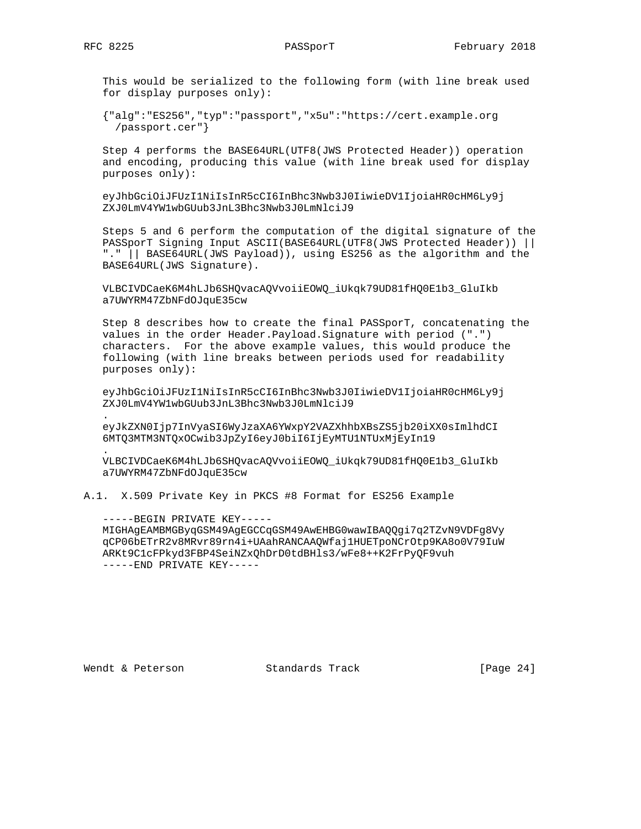.

.

 This would be serialized to the following form (with line break used for display purposes only):

 {"alg":"ES256","typ":"passport","x5u":"https://cert.example.org /passport.cer"}

 Step 4 performs the BASE64URL(UTF8(JWS Protected Header)) operation and encoding, producing this value (with line break used for display purposes only):

 eyJhbGciOiJFUzI1NiIsInR5cCI6InBhc3Nwb3J0IiwieDV1IjoiaHR0cHM6Ly9j ZXJ0LmV4YW1wbGUub3JnL3Bhc3Nwb3J0LmNlciJ9

 Steps 5 and 6 perform the computation of the digital signature of the PASSporT Signing Input ASCII(BASE64URL(UTF8(JWS Protected Header)) || "." || BASE64URL(JWS Payload)), using ES256 as the algorithm and the BASE64URL(JWS Signature).

 VLBCIVDCaeK6M4hLJb6SHQvacAQVvoiiEOWQ\_iUkqk79UD81fHQ0E1b3\_GluIkb a7UWYRM47ZbNFdOJquE35cw

 Step 8 describes how to create the final PASSporT, concatenating the values in the order Header.Payload.Signature with period (".") characters. For the above example values, this would produce the following (with line breaks between periods used for readability purposes only):

 eyJhbGciOiJFUzI1NiIsInR5cCI6InBhc3Nwb3J0IiwieDV1IjoiaHR0cHM6Ly9j ZXJ0LmV4YW1wbGUub3JnL3Bhc3Nwb3J0LmNlciJ9

 eyJkZXN0Ijp7InVyaSI6WyJzaXA6YWxpY2VAZXhhbXBsZS5jb20iXX0sImlhdCI 6MTQ3MTM3NTQxOCwib3JpZyI6eyJ0biI6IjEyMTU1NTUxMjEyIn19

 VLBCIVDCaeK6M4hLJb6SHQvacAQVvoiiEOWQ\_iUkqk79UD81fHQ0E1b3\_GluIkb a7UWYRM47ZbNFdOJquE35cw

A.1. X.509 Private Key in PKCS #8 Format for ES256 Example

 -----BEGIN PRIVATE KEY----- MIGHAgEAMBMGByqGSM49AgEGCCqGSM49AwEHBG0wawIBAQQgi7q2TZvN9VDFg8Vy qCP06bETrR2v8MRvr89rn4i+UAahRANCAAQWfaj1HUETpoNCrOtp9KA8o0V79IuW ARKt9C1cFPkyd3FBP4SeiNZxQhDrD0tdBHls3/wFe8++K2FrPyQF9vuh -----END PRIVATE KEY-----

Wendt & Peterson Standards Track [Page 24]